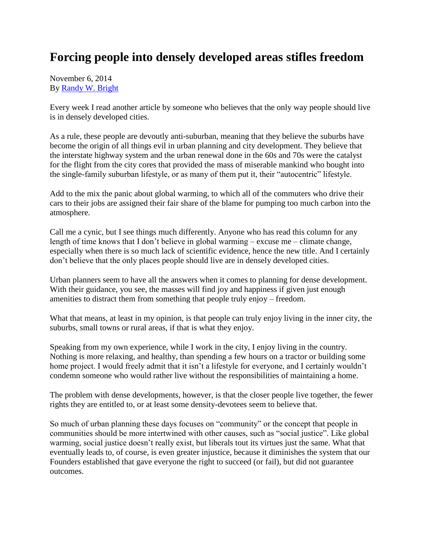## **Forcing people into densely developed areas stifles freedom**

November 6, 2014 By [Randy W. Bright](http://www.tulsabeacon.com/author/slug-o6yd1v)

Every week I read another article by someone who believes that the only way people should live is in densely developed cities.

As a rule, these people are devoutly anti-suburban, meaning that they believe the suburbs have become the origin of all things evil in urban planning and city development. They believe that the interstate highway system and the urban renewal done in the 60s and 70s were the catalyst for the flight from the city cores that provided the mass of miserable mankind who bought into the single-family suburban lifestyle, or as many of them put it, their "autocentric" lifestyle.

Add to the mix the panic about global warming, to which all of the commuters who drive their cars to their jobs are assigned their fair share of the blame for pumping too much carbon into the atmosphere.

Call me a cynic, but I see things much differently. Anyone who has read this column for any length of time knows that I don't believe in global warming – excuse me – climate change, especially when there is so much lack of scientific evidence, hence the new title. And I certainly don't believe that the only places people should live are in densely developed cities.

Urban planners seem to have all the answers when it comes to planning for dense development. With their guidance, you see, the masses will find joy and happiness if given just enough amenities to distract them from something that people truly enjoy – freedom.

What that means, at least in my opinion, is that people can truly enjoy living in the inner city, the suburbs, small towns or rural areas, if that is what they enjoy.

Speaking from my own experience, while I work in the city, I enjoy living in the country. Nothing is more relaxing, and healthy, than spending a few hours on a tractor or building some home project. I would freely admit that it isn't a lifestyle for everyone, and I certainly wouldn't condemn someone who would rather live without the responsibilities of maintaining a home.

The problem with dense developments, however, is that the closer people live together, the fewer rights they are entitled to, or at least some density-devotees seem to believe that.

So much of urban planning these days focuses on "community" or the concept that people in communities should be more intertwined with other causes, such as "social justice". Like global warming, social justice doesn't really exist, but liberals tout its virtues just the same. What that eventually leads to, of course, is even greater injustice, because it diminishes the system that our Founders established that gave everyone the right to succeed (or fail), but did not guarantee outcomes.